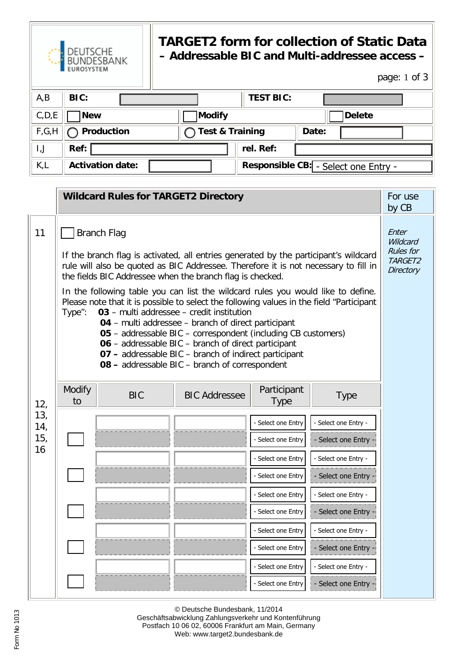

## **TARGET2 form for collection of Static Data – Addressable BIC and Multi-addressee access –**

page: 1 of 3

| A,B     | BIC:                    |                 | <b>TEST BIC:</b> |                                      |
|---------|-------------------------|-----------------|------------------|--------------------------------------|
| C, D, E | <b>New</b>              | Modify          |                  | Delete                               |
| F,G,H   | Production              | Test & Training |                  | Date:                                |
| I,J     | Ref:                    |                 | rel. Ref:        |                                      |
| K,L     | <b>Activation date:</b> |                 |                  | Responsible CB: - Select one Entry - |

|                       | <b>Wildcard Rules for TARGET2 Directory</b>                                                                                                                                                                                                                                                                                                                                                                                                                                                                                   |            |                      |                            | For use<br>by CB     |                                                               |
|-----------------------|-------------------------------------------------------------------------------------------------------------------------------------------------------------------------------------------------------------------------------------------------------------------------------------------------------------------------------------------------------------------------------------------------------------------------------------------------------------------------------------------------------------------------------|------------|----------------------|----------------------------|----------------------|---------------------------------------------------------------|
| 11                    | <b>Branch Flag</b><br>If the branch flag is activated, all entries generated by the participant's wildcard<br>rule will also be quoted as BIC Addressee. Therefore it is not necessary to fill in<br>the fields BIC Addressee when the branch flag is checked.                                                                                                                                                                                                                                                                |            |                      |                            |                      | Enter<br>Wildcard<br><b>Rules</b> for<br>TARGET2<br>Directory |
|                       | In the following table you can list the wildcard rules you would like to define.<br>Please note that it is possible to select the following values in the field "Participant<br>03 - multi addressee - credit institution<br>Type":<br>04 - multi addressee - branch of direct participant<br>05 - addressable BIC - correspondent (including CB customers)<br>06 - addressable BIC - branch of direct participant<br>07 - addressable BIC - branch of indirect participant<br>08 - addressable BIC - branch of correspondent |            |                      |                            |                      |                                                               |
| 12,                   | Modify<br>to                                                                                                                                                                                                                                                                                                                                                                                                                                                                                                                  | <b>BIC</b> | <b>BIC Addressee</b> | Participant<br><b>Type</b> | <b>Type</b>          |                                                               |
| 13,<br>14,            |                                                                                                                                                                                                                                                                                                                                                                                                                                                                                                                               |            |                      | Select one Entry           | - Select one Entry   |                                                               |
| 15 <sub>1</sub><br>16 |                                                                                                                                                                                                                                                                                                                                                                                                                                                                                                                               |            |                      | - Select one Entry         | - Select one Entry   |                                                               |
|                       |                                                                                                                                                                                                                                                                                                                                                                                                                                                                                                                               |            |                      | - Select one Entry         | - Select one Entry - |                                                               |
|                       |                                                                                                                                                                                                                                                                                                                                                                                                                                                                                                                               |            |                      | - Select one Entry         | - Select one Entry - |                                                               |
|                       |                                                                                                                                                                                                                                                                                                                                                                                                                                                                                                                               |            |                      | - Select one Entry         | - Select one Entry - |                                                               |
|                       |                                                                                                                                                                                                                                                                                                                                                                                                                                                                                                                               |            |                      | - Select one Entry         | - Select one Entry   |                                                               |
|                       |                                                                                                                                                                                                                                                                                                                                                                                                                                                                                                                               |            |                      | - Select one Entry         | - Select one Entry - |                                                               |
|                       |                                                                                                                                                                                                                                                                                                                                                                                                                                                                                                                               |            |                      | Select one Entry           | - Select one Entry - |                                                               |
|                       |                                                                                                                                                                                                                                                                                                                                                                                                                                                                                                                               |            |                      | - Select one Entry         | - Select one Entry - |                                                               |
|                       |                                                                                                                                                                                                                                                                                                                                                                                                                                                                                                                               |            |                      | - Select one Entry         | - Select one Entry · |                                                               |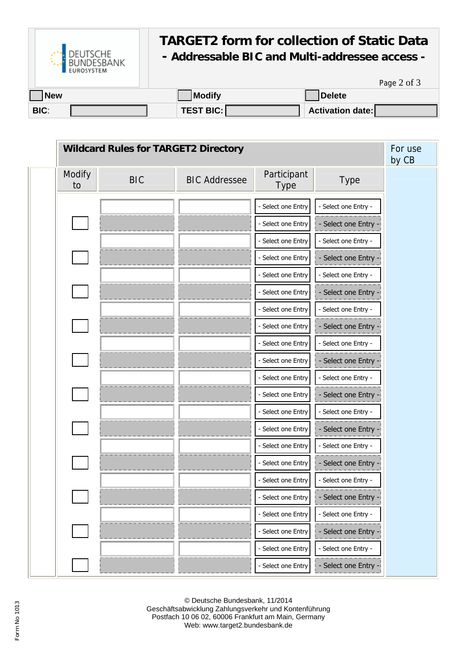

## **TARGET2 form for collection of Static Data**

## **- Addressable BIC and Multi-addressee access -**

Page 2 of 3

| <b>New</b>  | <b>Modify</b>    | <b>Delete</b>           |
|-------------|------------------|-------------------------|
| <b>BIC:</b> | <b>TEST BIC:</b> | <b>Activation date:</b> |

| <b>Wildcard Rules for TARGET2 Directory</b> |            |                      |                     |                      | For use<br>by CB |
|---------------------------------------------|------------|----------------------|---------------------|----------------------|------------------|
| Modify<br>to                                | <b>BIC</b> | <b>BIC Addressee</b> | Participant<br>Type | Type                 |                  |
|                                             |            |                      | Select one Entry    | - Select one Entry - |                  |
|                                             |            |                      | Select one Entry    | - Select one Entry   |                  |
|                                             |            |                      | - Select one Entry  | - Select one Entry - |                  |
|                                             |            |                      | - Select one Entry  | - Select one Entry   |                  |
|                                             |            |                      | Select one Entry    | - Select one Entry - |                  |
|                                             |            |                      | - Select one Entry  | - Select one Entry - |                  |
|                                             |            |                      | - Select one Entry  | - Select one Entry - |                  |
|                                             |            |                      | - Select one Entry  | - Select one Entry   |                  |
|                                             |            |                      | - Select one Entry  | - Select one Entry - |                  |
|                                             |            |                      | Select one Entry    | - Select one Entry   |                  |
|                                             |            |                      | - Select one Entry  | - Select one Entry - |                  |
|                                             |            |                      | - Select one Entry  | - Select one Entry   |                  |
|                                             |            |                      | Select one Entry    | - Select one Entry - |                  |
|                                             |            |                      | - Select one Entry  | - Select one Entry . |                  |
|                                             |            |                      | - Select one Entry  | - Select one Entry - |                  |
|                                             |            |                      | - Select one Entry  | - Select one Entry - |                  |
|                                             |            |                      | - Select one Entry  | - Select one Entry - |                  |
|                                             |            |                      | - Select one Entry  | - Select one Entry - |                  |
|                                             |            |                      | - Select one Entry  | - Select one Entry - |                  |
|                                             |            |                      | - Select one Entry  | - Select one Entry - |                  |
|                                             |            |                      | Select one Entry    | - Select one Entry - |                  |
|                                             |            |                      | - Select one Entry  | - Select one Entry - |                  |